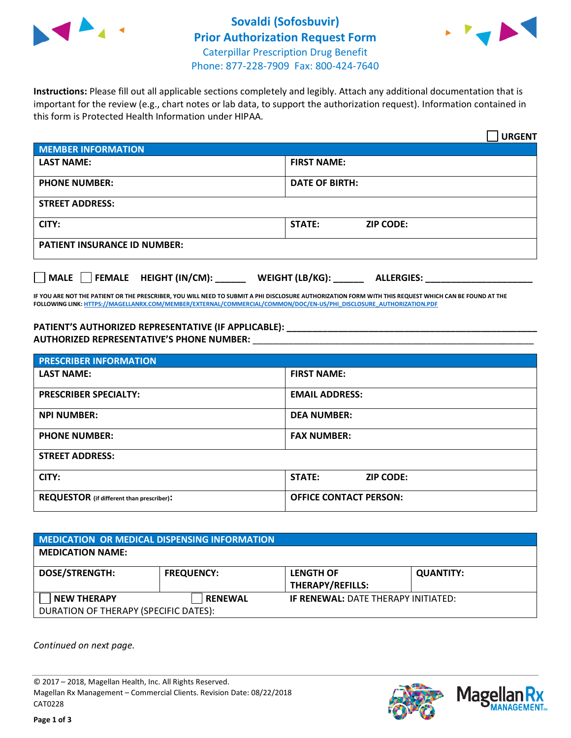



**Instructions:** Please fill out all applicable sections completely and legibly. Attach any additional documentation that is important for the review (e.g., chart notes or lab data, to support the authorization request). Information contained in this form is Protected Health Information under HIPAA.

|                                            | <b>URGENT</b>                        |  |
|--------------------------------------------|--------------------------------------|--|
| <b>MEMBER INFORMATION</b>                  |                                      |  |
| <b>LAST NAME:</b>                          | <b>FIRST NAME:</b>                   |  |
| <b>PHONE NUMBER:</b>                       | <b>DATE OF BIRTH:</b>                |  |
| <b>STREET ADDRESS:</b>                     |                                      |  |
| CITY:                                      | STATE:<br><b>ZIP CODE:</b>           |  |
| <b>PATIENT INSURANCE ID NUMBER:</b>        |                                      |  |
| FEMALE HEIGHT (IN/CM):<br>$ $ MALE $ $ $ $ | WEIGHT (LB/KG):<br><b>ALLERGIES:</b> |  |

**IF YOU ARE NOT THE PATIENT OR THE PRESCRIBER, YOU WILL NEED TO SUBMIT A PHI DISCLOSURE AUTHORIZATION FORM WITH THIS REQUEST WHICH CAN BE FOUND AT THE FOLLOWING LINK[: HTTPS://MAGELLANRX.COM/MEMBER/EXTERNAL/COMMERCIAL/COMMON/DOC/EN-US/PHI\\_DISCLOSURE\\_AUTHORIZATION.PDF](https://magellanrx.com/member/external/commercial/common/doc/en-us/PHI_Disclosure_Authorization.pdf)**

**PATIENT'S AUTHORIZED REPRESENTATIVE (IF APPLICABLE): \_\_\_\_\_\_\_\_\_\_\_\_\_\_\_\_\_\_\_\_\_\_\_\_\_\_\_\_\_\_\_\_\_\_\_\_\_\_\_\_\_\_\_\_\_\_\_\_\_ AUTHORIZED REPRESENTATIVE'S PHONE NUMBER:** \_\_\_\_\_\_\_\_\_\_\_\_\_\_\_\_\_\_\_\_\_\_\_\_\_\_\_\_\_\_\_\_\_\_\_\_\_\_\_\_\_\_\_\_\_\_\_\_\_\_\_\_\_\_\_

| <b>PRESCRIBER INFORMATION</b>             |                               |  |  |  |
|-------------------------------------------|-------------------------------|--|--|--|
| <b>LAST NAME:</b>                         | <b>FIRST NAME:</b>            |  |  |  |
| <b>PRESCRIBER SPECIALTY:</b>              | <b>EMAIL ADDRESS:</b>         |  |  |  |
| <b>NPI NUMBER:</b>                        | <b>DEA NUMBER:</b>            |  |  |  |
| <b>PHONE NUMBER:</b>                      | <b>FAX NUMBER:</b>            |  |  |  |
| <b>STREET ADDRESS:</b>                    |                               |  |  |  |
| CITY:                                     | STATE:<br><b>ZIP CODE:</b>    |  |  |  |
| REQUESTOR (if different than prescriber): | <b>OFFICE CONTACT PERSON:</b> |  |  |  |

| <b>MEDICATION OR MEDICAL DISPENSING INFORMATION</b> |                   |                                            |                  |  |  |
|-----------------------------------------------------|-------------------|--------------------------------------------|------------------|--|--|
| <b>MEDICATION NAME:</b>                             |                   |                                            |                  |  |  |
| <b>DOSE/STRENGTH:</b>                               | <b>FREQUENCY:</b> | <b>LENGTH OF</b>                           | <b>QUANTITY:</b> |  |  |
|                                                     |                   | <b>THERAPY/REFILLS:</b>                    |                  |  |  |
| <b>NEW THERAPY</b>                                  | <b>RENEWAL</b>    | <b>IF RENEWAL: DATE THERAPY INITIATED:</b> |                  |  |  |
| DURATION OF THERAPY (SPECIFIC DATES):               |                   |                                            |                  |  |  |

*Continued on next page.*

© 2017 – 2018, Magellan Health, Inc. All Rights Reserved. Magellan Rx Management – Commercial Clients. Revision Date: 08/22/2018 CAT0228



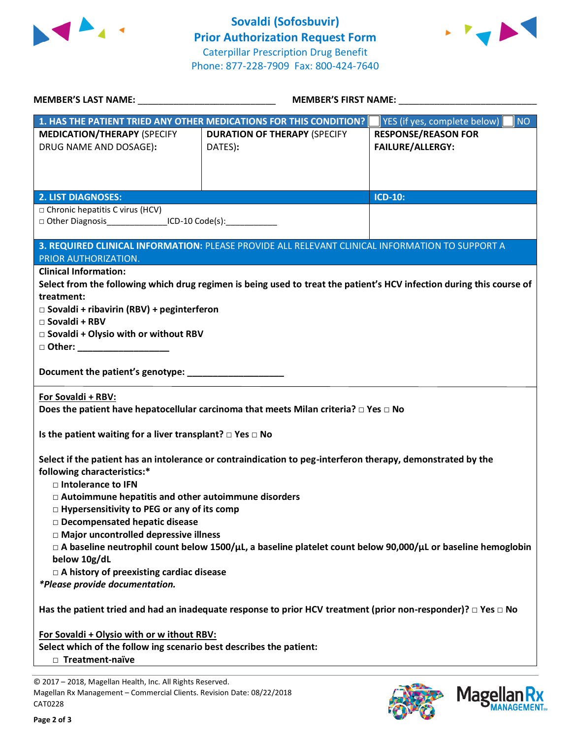



| <b>MEMBER'S LAST NAME:</b> NAME                                                                                                | <b>MEMBER'S FIRST NAME:</b>                                                                                           |                                                       |  |  |  |  |
|--------------------------------------------------------------------------------------------------------------------------------|-----------------------------------------------------------------------------------------------------------------------|-------------------------------------------------------|--|--|--|--|
|                                                                                                                                | 1. HAS THE PATIENT TRIED ANY OTHER MEDICATIONS FOR THIS CONDITION?                                                    | YES (if yes, complete below)<br><b>NO</b>             |  |  |  |  |
| <b>MEDICATION/THERAPY (SPECIFY</b><br>DRUG NAME AND DOSAGE):                                                                   | <b>DURATION OF THERAPY (SPECIFY</b><br>DATES):                                                                        | <b>RESPONSE/REASON FOR</b><br><b>FAILURE/ALLERGY:</b> |  |  |  |  |
|                                                                                                                                |                                                                                                                       |                                                       |  |  |  |  |
| <b>2. LIST DIAGNOSES:</b>                                                                                                      |                                                                                                                       | <b>ICD-10:</b>                                        |  |  |  |  |
| $\Box$ Chronic hepatitis C virus (HCV)                                                                                         |                                                                                                                       |                                                       |  |  |  |  |
| □ Other Diagnosis_________________ICD-10 Code(s):______________                                                                |                                                                                                                       |                                                       |  |  |  |  |
|                                                                                                                                | 3. REQUIRED CLINICAL INFORMATION: PLEASE PROVIDE ALL RELEVANT CLINICAL INFORMATION TO SUPPORT A                       |                                                       |  |  |  |  |
| PRIOR AUTHORIZATION.                                                                                                           |                                                                                                                       |                                                       |  |  |  |  |
| <b>Clinical Information:</b>                                                                                                   | Select from the following which drug regimen is being used to treat the patient's HCV infection during this course of |                                                       |  |  |  |  |
| treatment:                                                                                                                     |                                                                                                                       |                                                       |  |  |  |  |
| $\Box$ Sovaldi + ribavirin (RBV) + peginterferon                                                                               |                                                                                                                       |                                                       |  |  |  |  |
| □ Sovaldi + RBV                                                                                                                |                                                                                                                       |                                                       |  |  |  |  |
| $\square$ Sovaldi + Olysio with or without RBV                                                                                 |                                                                                                                       |                                                       |  |  |  |  |
| □ Other: __________________                                                                                                    |                                                                                                                       |                                                       |  |  |  |  |
| Document the patient's genotype: _____________________                                                                         |                                                                                                                       |                                                       |  |  |  |  |
| For Sovaldi + RBV:                                                                                                             |                                                                                                                       |                                                       |  |  |  |  |
| Does the patient have hepatocellular carcinoma that meets Milan criteria? $\Box$ Yes $\Box$ No                                 |                                                                                                                       |                                                       |  |  |  |  |
| Is the patient waiting for a liver transplant? $\square$ Yes $\square$ No                                                      |                                                                                                                       |                                                       |  |  |  |  |
|                                                                                                                                | Select if the patient has an intolerance or contraindication to peg-interferon therapy, demonstrated by the           |                                                       |  |  |  |  |
| following characteristics:*                                                                                                    |                                                                                                                       |                                                       |  |  |  |  |
| $\Box$ Intolerance to IFN                                                                                                      |                                                                                                                       |                                                       |  |  |  |  |
| $\Box$ Autoimmune hepatitis and other autoimmune disorders                                                                     |                                                                                                                       |                                                       |  |  |  |  |
| $\Box$ Hypersensitivity to PEG or any of its comp                                                                              |                                                                                                                       |                                                       |  |  |  |  |
| □ Decompensated hepatic disease<br>□ Major uncontrolled depressive illness                                                     |                                                                                                                       |                                                       |  |  |  |  |
| $\Box$ A baseline neutrophil count below 1500/ $\mu$ L, a baseline platelet count below 90,000/ $\mu$ L or baseline hemoglobin |                                                                                                                       |                                                       |  |  |  |  |
| below 10g/dL                                                                                                                   |                                                                                                                       |                                                       |  |  |  |  |
| $\Box$ A history of preexisting cardiac disease                                                                                |                                                                                                                       |                                                       |  |  |  |  |
| *Please provide documentation.                                                                                                 |                                                                                                                       |                                                       |  |  |  |  |
| Has the patient tried and had an inadequate response to prior HCV treatment (prior non-responder)? $\Box$ Yes $\Box$ No        |                                                                                                                       |                                                       |  |  |  |  |
| For Sovaldi + Olysio with or w ithout RBV:                                                                                     |                                                                                                                       |                                                       |  |  |  |  |
| Select which of the follow ing scenario best describes the patient:                                                            |                                                                                                                       |                                                       |  |  |  |  |
| □ Treatment-naïve                                                                                                              |                                                                                                                       |                                                       |  |  |  |  |
|                                                                                                                                |                                                                                                                       |                                                       |  |  |  |  |

© 2017 – 2018, Magellan Health, Inc. All Rights Reserved. Magellan Rx Management – Commercial Clients. Revision Date: 08/22/2018 CAT0228